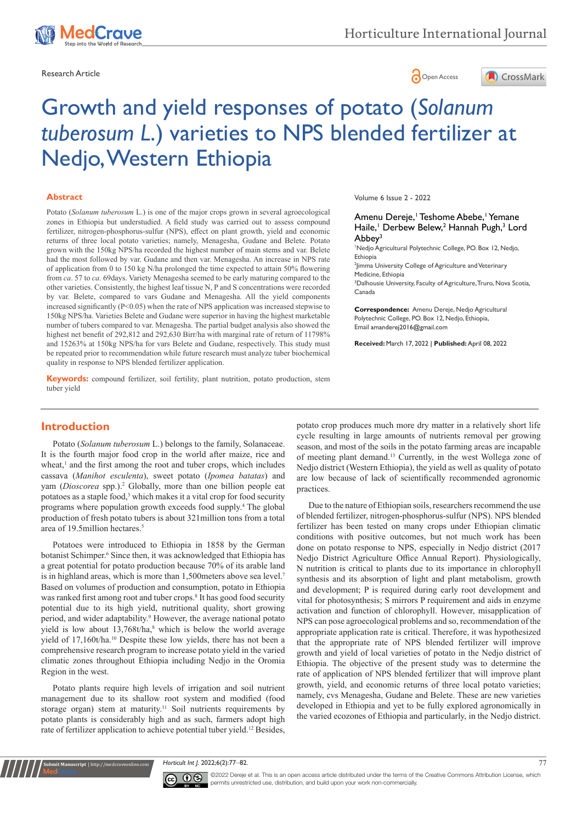



# Growth and yield responses of potato (*Solanum tuberosum L*.) varieties to NPS blended fertilizer at Nedjo, Western Ethiopia

#### **Abstract**

Potato (*Solanum tuberosum* L.) is one of the major crops grown in several agroecological zones in Ethiopia but understudied. A field study was carried out to assess compound fertilizer, nitrogen-phosphorus-sulfur (NPS), effect on plant growth, yield and economic returns of three local potato varieties; namely, Menagesha, Gudane and Belete. Potato grown with the 150kg NPS/ha recorded the highest number of main stems and var. Belete had the most followed by var. Gudane and then var. Menagesha. An increase in NPS rate of application from 0 to 150 kg N/ha prolonged the time expected to attain 50% flowering from *ca*. 57 to *ca.* 69days. Variety Menagesha seemed to be early maturing compared to the other varieties. Consistently, the highest leaf tissue N, P and S concentrations were recorded by var. Belete, compared to vars Gudane and Menagesha. All the yield components increased significantly (P<0.05) when the rate of NPS application was increased stepwise to 150kg NPS/ha. Varieties Belete and Gudane were superior in having the highest marketable number of tubers compared to var. Menagesha. The partial budget analysis also showed the highest net benefit of 292,812 and 292,630 Birr/ha with marginal rate of return of 11798% and 15263% at 150kg NPS/ha for vars Belete and Gudane, respectively. This study must be repeated prior to recommendation while future research must analyze tuber biochemical quality in response to NPS blended fertilizer application.

**Keywords:** compound fertilizer, soil fertility, plant nutrition, potato production, stem tuber yield

Volume 6 Issue 2 - 2022

Amenu Dereje, <sup>I</sup> Teshome Abebe, 'Yemane Haile,<sup>1</sup> Derbew Belew,<sup>2</sup> Hannah Pugh,<sup>3</sup> Lord Abbey<sup>3</sup>

1 Nedjo Agricultural Polytechnic College, PO. Box 12, Nedjo, Ethiopia

2 Jimma University College of Agriculture and Veterinary Medicine, Ethiopia

<sup>3</sup>Dalhousie University, Faculty of Agriculture, Truro, Nova Scotia, Canada

**Correspondence:** Amenu Dereje, Nedjo Agricultural Polytechnic College, PO. Box 12, Nedjo, Ethiopia, Email amanderej2016@gmail.com

**Received:** March 17, 2022 | **Published:** April 08, 2022

# **Introduction**

Potato (*Solanum tuberosum* L.) belongs to the family, Solanaceae. It is the fourth major food crop in the world after maize, rice and wheat,<sup>1</sup> and the first among the root and tuber crops, which includes cassava (*Manihot esculenta*), sweet potato (*Ipomea batatas*) and yam (*Dioscorea* spp.).<sup>2</sup> Globally, more than one billion people eat potatoes as a staple food,<sup>3</sup> which makes it a vital crop for food security programs where population growth exceeds food supply.4 The global production of fresh potato tubers is about 321million tons from a total area of 19.5million hectares.5

Potatoes were introduced to Ethiopia in 1858 by the German botanist Schimper.<sup>6</sup> Since then, it was acknowledged that Ethiopia has a great potential for potato production because 70% of its arable land is in highland areas, which is more than 1,500meters above sea level.7 Based on volumes of production and consumption, potato in Ethiopia was ranked first among root and tuber crops.<sup>8</sup> It has good food security potential due to its high yield, nutritional quality, short growing period, and wider adaptability.<sup>9</sup> However, the average national potato yield is low about 13,768t/ha,<sup>8</sup> which is below the world average yield of 17,160t/ha.10 Despite these low yields, there has not been a comprehensive research program to increase potato yield in the varied climatic zones throughout Ethiopia including Nedjo in the Oromia Region in the west.

Potato plants require high levels of irrigation and soil nutrient management due to its shallow root system and modified (food storage organ) stem at maturity.<sup>11</sup> Soil nutrients requirements by potato plants is considerably high and as such, farmers adopt high rate of fertilizer application to achieve potential tuber yield.12 Besides,

**it Manuscript** | http://medcraveonline.c

potato crop produces much more dry matter in a relatively short life cycle resulting in large amounts of nutrients removal per growing season, and most of the soils in the potato farming areas are incapable of meeting plant demand.13 Currently, in the west Wollega zone of Nedjo district (Western Ethiopia), the yield as well as quality of potato are low because of lack of scientifically recommended agronomic practices.

Due to the nature of Ethiopian soils, researchers recommend the use of blended fertilizer, nitrogen-phosphorus-sulfur (NPS). NPS blended fertilizer has been tested on many crops under Ethiopian climatic conditions with positive outcomes, but not much work has been done on potato response to NPS, especially in Nedjo district (2017 Nedjo District Agriculture Office Annual Report). Physiologically, N nutrition is critical to plants due to its importance in chlorophyll synthesis and its absorption of light and plant metabolism, growth and development; P is required during early root development and vital for photosynthesis; S mirrors P requirement and aids in enzyme activation and function of chlorophyll. However, misapplication of NPS can pose agroecological problems and so, recommendation of the appropriate application rate is critical. Therefore, it was hypothesized that the appropriate rate of NPS blended fertilizer will improve growth and yield of local varieties of potato in the Nedjo district of Ethiopia. The objective of the present study was to determine the rate of application of NPS blended fertilizer that will improve plant growth, yield, and economic returns of three local potato varieties; namely, cvs Menagesha, Gudane and Belete. These are new varieties developed in Ethiopia and yet to be fully explored agronomically in the varied ecozones of Ethiopia and particularly, in the Nedjo district.

*Horticult Int J.* 2022;6(2):77‒82. 77



©2022 Dereje et al. This is an open access article distributed under the terms of the Creative Commons Attribution License, which permits unrestricted use, distribution, and build upon your work non-commercially.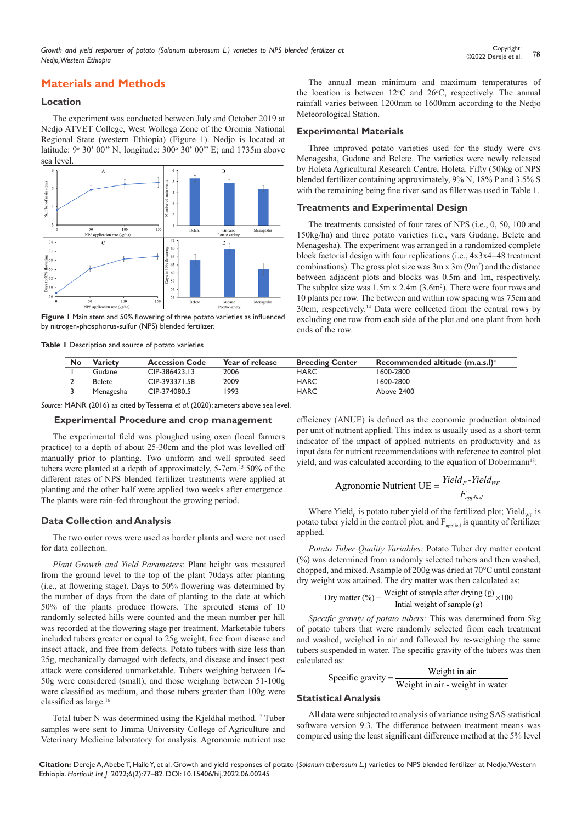*Growth and yield responses of potato (Solanum tuberosum L.) varieties to NPS blended fertilizer at Nedjo, Western Ethiopia*

# **Materials and Methods**

#### **Location**

The experiment was conducted between July and October 2019 at Nedjo ATVET College, West Wollega Zone of the Oromia National Regional State (western Ethiopia) (Figure 1). Nedjo is located at latitude: 9° 30' 00" N; longitude: 300° 30' 00" E; and 1735m above sea level.



**Figure 1** Main stem and 50% flowering of three potato varieties as influenced by nitrogen-phosphorus-sulfur (NPS) blended fertilizer.

**Table 1** Description and source of potato varieties

**No Variety Accession Code Year of release Breeding Center Recommended altitude (m.a.s.l)a** Gudane CIP-386423.13 2006 HARC 1600-2800 Belete CIP-393371.58 2009 HARC 1600-2800 Menagesha CIP-374080.5 1993 HARC Above 2400

*Source:* MANR (2016) as cited by Tessema *et al.* (2020); ameters above sea level.

#### **Experimental Procedure and crop management**

The experimental field was ploughed using oxen (local farmers practice) to a depth of about 25-30cm and the plot was levelled off manually prior to planting. Two uniform and well sprouted seed tubers were planted at a depth of approximately, 5-7cm.15 50% of the different rates of NPS blended fertilizer treatments were applied at planting and the other half were applied two weeks after emergence. The plants were rain-fed throughout the growing period.

#### **Data Collection and Analysis**

The two outer rows were used as border plants and were not used for data collection.

*Plant Growth and Yield Parameters*: Plant height was measured from the ground level to the top of the plant 70days after planting (i.e., at flowering stage). Days to 50% flowering was determined by the number of days from the date of planting to the date at which 50% of the plants produce flowers. The sprouted stems of 10 randomly selected hills were counted and the mean number per hill was recorded at the flowering stage per treatment. Marketable tubers included tubers greater or equal to 25g weight, free from disease and insect attack, and free from defects. Potato tubers with size less than 25g, mechanically damaged with defects, and disease and insect pest attack were considered unmarketable. Tubers weighing between 16- 50g were considered (small), and those weighing between 51-100g were classified as medium, and those tubers greater than 100g were classified as large.<sup>16</sup>

Total tuber N was determined using the Kjeldhal method.17 Tuber samples were sent to Jimma University College of Agriculture and Veterinary Medicine laboratory for analysis. Agronomic nutrient use

The annual mean minimum and maximum temperatures of the location is between  $12^{\circ}$ C and  $26^{\circ}$ C, respectively. The annual rainfall varies between 1200mm to 1600mm according to the Nedjo Meteorological Station.

#### **Experimental Materials**

Three improved potato varieties used for the study were cvs Menagesha, Gudane and Belete. The varieties were newly released by Holeta Agricultural Research Centre, Holeta. Fifty (50)kg of NPS blended fertilizer containing approximately, 9% N, 18% P and 3.5% S with the remaining being fine river sand as filler was used in Table 1.

#### **Treatments and Experimental Design**

The treatments consisted of four rates of NPS (i.e., 0, 50, 100 and 150kg/ha) and three potato varieties (i.e., vars Gudang, Belete and Menagesha). The experiment was arranged in a randomized complete block factorial design with four replications (i.e., 4x3x4=48 treatment combinations). The gross plot size was  $3m \times 3m$  ( $9m^2$ ) and the distance between adjacent plots and blocks was 0.5m and 1m, respectively. The subplot size was  $1.5m \times 2.4m (3.6m^2)$ . There were four rows and 10 plants per row. The between and within row spacing was 75cm and 30cm, respectively.14 Data were collected from the central rows by excluding one row from each side of the plot and one plant from both ends of the row.

efficiency (ANUE) is defined as the economic production obtained per unit of nutrient applied. This index is usually used as a short-term indicator of the impact of applied nutrients on productivity and as input data for nutrient recommendations with reference to control plot yield, and was calculated according to the equation of Dobermann<sup>18</sup>:

Agronomic Nutrient UE = 
$$
\frac{Yield_F - Yield_{WF}}{F_{applied}}
$$

Where Yield<sub>F</sub> is potato tuber yield of the fertilized plot; Yield<sub>WF</sub> is potato tuber yield in the control plot; and  $F_{\text{anplied}}$  is quantity of fertilizer applied.

*Potato Tuber Quality Variables:* Potato Tuber dry matter content (%) was determined from randomly selected tubers and then washed, chopped, and mixed. A sample of 200g was dried at 70°C until constant dry weight was attained. The dry matter was then calculated as:

$$
Dry matter (%) = \frac{Weight of sample after drying (g)}{Initial weight of sample (g)} \times 100
$$

*Specific gravity of potato tubers:* This was determined from 5kg of potato tubers that were randomly selected from each treatment and washed, weighed in air and followed by re-weighing the same tubers suspended in water. The specific gravity of the tubers was then calculated as:

$$
Specific\ gravity = \frac{Weight\ in\ air}{Weight\ in\ coin\ weight\ in\ wate}
$$

#### Weight in air - weight in water

#### **Statistical Analysis**

All data were subjected to analysis of variance using SAS statistical software version 9.3. The difference between treatment means was compared using the least significant difference method at the 5% level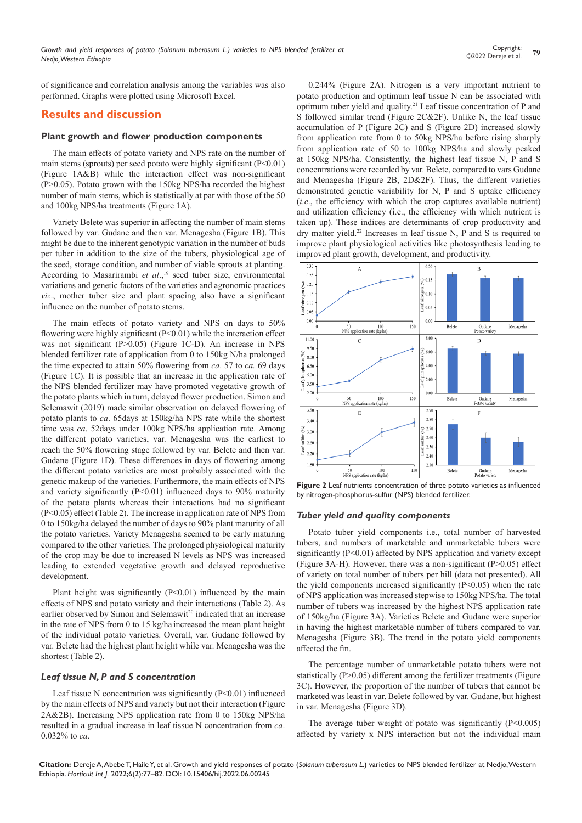of significance and correlation analysis among the variables was also performed. Graphs were plotted using Microsoft Excel.

# **Results and discussion**

#### **Plant growth and flower production components**

The main effects of potato variety and NPS rate on the number of main stems (sprouts) per seed potato were highly significant (P<0.01) (Figure 1A&B) while the interaction effect was non-significant (P>0.05). Potato grown with the 150kg NPS/ha recorded the highest number of main stems, which is statistically at par with those of the 50 and 100kg NPS/ha treatments (Figure 1A).

Variety Belete was superior in affecting the number of main stems followed by var. Gudane and then var. Menagesha (Figure 1B). This might be due to the inherent genotypic variation in the number of buds per tuber in addition to the size of the tubers, physiological age of the seed, storage condition, and number of viable sprouts at planting. According to Masarirambi et al.,<sup>19</sup> seed tuber size, environmental variations and genetic factors of the varieties and agronomic practices *viz*., mother tuber size and plant spacing also have a significant influence on the number of potato stems.

The main effects of potato variety and NPS on days to 50% flowering were highly significant (P<0.01) while the interaction effect was not significant (P>0.05) (Figure 1C-D). An increase in NPS blended fertilizer rate of application from 0 to 150kg N/ha prolonged the time expected to attain 50% flowering from *ca*. 57 to *ca.* 69 days (Figure 1C). It is possible that an increase in the application rate of the NPS blended fertilizer may have promoted vegetative growth of the potato plants which in turn, delayed flower production. Simon and Selemawit (2019) made similar observation on delayed flowering of potato plants to *ca*. 65days at 150kg/ha NPS rate while the shortest time was *ca*. 52days under 100kg NPS/ha application rate. Among the different potato varieties, var. Menagesha was the earliest to reach the 50% flowering stage followed by var. Belete and then var. Gudane (Figure 1D). These differences in days of flowering among the different potato varieties are most probably associated with the genetic makeup of the varieties. Furthermore, the main effects of NPS and variety significantly (P<0.01) influenced days to 90% maturity of the potato plants whereas their interactions had no significant (P<0.05) effect (Table 2). The increase in application rate of NPS from 0 to 150kg/ha delayed the number of days to 90% plant maturity of all the potato varieties. Variety Menagesha seemed to be early maturing compared to the other varieties. The prolonged physiological maturity of the crop may be due to increased N levels as NPS was increased leading to extended vegetative growth and delayed reproductive development.

Plant height was significantly  $(P<0.01)$  influenced by the main effects of NPS and potato variety and their interactions (Table 2). As earlier observed by Simon and Selemawit<sup>20</sup> indicated that an increase in the rate of NPS from 0 to 15 kg/ha increased the mean plant height of the individual potato varieties. Overall, var. Gudane followed by var. Belete had the highest plant height while var. Menagesha was the shortest (Table 2).

#### *Leaf tissue N, P and S concentration*

Leaf tissue N concentration was significantly  $(P<0.01)$  influenced by the main effects of NPS and variety but not their interaction (Figure 2A&2B). Increasing NPS application rate from 0 to 150kg NPS/ha resulted in a gradual increase in leaf tissue N concentration from *ca*. 0.032% to *ca*.

0.244% (Figure 2A). Nitrogen is a very important nutrient to potato production and optimum leaf tissue N can be associated with optimum tuber yield and quality.21 Leaf tissue concentration of P and S followed similar trend (Figure 2C&2F). Unlike N, the leaf tissue accumulation of P (Figure 2C) and S (Figure 2D) increased slowly from application rate from 0 to 50kg NPS/ha before rising sharply from application rate of 50 to 100kg NPS/ha and slowly peaked at 150kg NPS/ha. Consistently, the highest leaf tissue N, P and S concentrations were recorded by var. Belete, compared to vars Gudane and Menagesha (Figure 2B, 2D&2F). Thus, the different varieties demonstrated genetic variability for N, P and S uptake efficiency (*i.e*., the efficiency with which the crop captures available nutrient) and utilization efficiency (i.e., the efficiency with which nutrient is taken up). These indices are determinants of crop productivity and dry matter yield.<sup>22</sup> Increases in leaf tissue N, P and S is required to improve plant physiological activities like photosynthesis leading to improved plant growth, development, and productivity.



**Figure 2** Leaf nutrients concentration of three potato varieties as influenced by nitrogen-phosphorus-sulfur (NPS) blended fertilizer.

#### *Tuber yield and quality components*

Potato tuber yield components i.e., total number of harvested tubers, and numbers of marketable and unmarketable tubers were significantly (P<0.01) affected by NPS application and variety except (Figure 3A-H). However, there was a non-significant  $(P>0.05)$  effect of variety on total number of tubers per hill (data not presented). All the yield components increased significantly (P<0.05) when the rate of NPS application was increased stepwise to 150kg NPS/ha. The total number of tubers was increased by the highest NPS application rate of 150kg/ha (Figure 3A). Varieties Belete and Gudane were superior in having the highest marketable number of tubers compared to var. Menagesha (Figure 3B). The trend in the potato yield components affected the fin.

The percentage number of unmarketable potato tubers were not statistically (P>0.05) different among the fertilizer treatments (Figure 3C). However, the proportion of the number of tubers that cannot be marketed was least in var. Belete followed by var. Gudane, but highest in var. Menagesha (Figure 3D).

The average tuber weight of potato was significantly (P<0.005) affected by variety x NPS interaction but not the individual main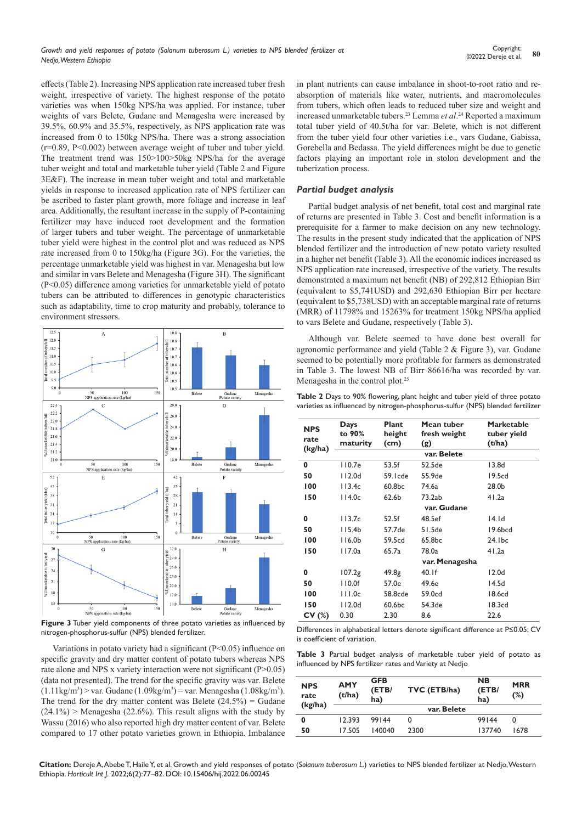effects (Table 2). Increasing NPS application rate increased tuber fresh weight, irrespective of variety. The highest response of the potato varieties was when 150kg NPS/ha was applied. For instance, tuber weights of vars Belete, Gudane and Menagesha were increased by 39.5%, 60.9% and 35.5%, respectively, as NPS application rate was increased from 0 to 150kg NPS/ha. There was a strong association (r=0.89, P<0.002) between average weight of tuber and tuber yield. The treatment trend was 150>100>50kg NPS/ha for the average tuber weight and total and marketable tuber yield (Table 2 and Figure 3E&F). The increase in mean tuber weight and total and marketable yields in response to increased application rate of NPS fertilizer can be ascribed to faster plant growth, more foliage and increase in leaf area. Additionally, the resultant increase in the supply of P-containing fertilizer may have induced root development and the formation of larger tubers and tuber weight. The percentage of unmarketable tuber yield were highest in the control plot and was reduced as NPS rate increased from 0 to 150kg/ha (Figure 3G). For the varieties, the percentage unmarketable yield was highest in var. Menagesha but low and similar in vars Belete and Menagesha (Figure 3H). The significant (P<0.05) difference among varieties for unmarketable yield of potato tubers can be attributed to differences in genotypic characteristics such as adaptability, time to crop maturity and probably, tolerance to environment stressors.



**Figure 3** Tuber yield components of three potato varieties as influenced by nitrogen-phosphorus-sulfur (NPS) blended fertilizer.

Variations in potato variety had a significant (P<0.05) influence on specific gravity and dry matter content of potato tubers whereas NPS rate alone and NPS x variety interaction were not significant (P>0.05) (data not presented). The trend for the specific gravity was var. Belete  $(1.11\text{kg/m}^3)$  > var. Gudane  $(1.09\text{kg/m}^3)$  = var. Menagesha  $(1.08\text{kg/m}^3)$ . The trend for the dry matter content was Belete  $(24.5\%)$  = Gudane  $(24.1\%)$  > Menagesha (22.6%). This result aligns with the study by Wassu (2016) who also reported high dry matter content of var. Belete compared to 17 other potato varieties grown in Ethiopia. Imbalance in plant nutrients can cause imbalance in shoot-to-root ratio and reabsorption of materials like water, nutrients, and macromolecules from tubers, which often leads to reduced tuber size and weight and increased unmarketable tubers.23 Lemma *et al*. 24 Reported a maximum total tuber yield of 40.5t/ha for var. Belete, which is not different from the tuber yield four other varieties i.e., vars Gudane, Gabissa, Gorebella and Bedassa. The yield differences might be due to genetic factors playing an important role in stolon development and the tuberization process.

### *Partial budget analysis*

Partial budget analysis of net benefit, total cost and marginal rate of returns are presented in Table 3. Cost and benefit information is a prerequisite for a farmer to make decision on any new technology. The results in the present study indicated that the application of NPS blended fertilizer and the introduction of new potato variety resulted in a higher net benefit (Table 3). All the economic indices increased as NPS application rate increased, irrespective of the variety. The results demonstrated a maximum net benefit (NB) of 292,812 Ethiopian Birr (equivalent to \$5,741USD) and 292,630 Ethiopian Birr per hectare (equivalent to \$5,738USD) with an acceptable marginal rate of returns (MRR) of 11798% and 15263% for treatment 150kg NPS/ha applied to vars Belete and Gudane, respectively (Table 3).

Although var. Belete seemed to have done best overall for agronomic performance and yield (Table 2 & Figure 3), var. Gudane seemed to be potentially more profitable for farmers as demonstrated in Table 3. The lowest NB of Birr 86616/ha was recorded by var. Menagesha in the control plot.25

|  | Table 2 Days to 90% flowering, plant height and tuber yield of three potato    |  |  |  |  |
|--|--------------------------------------------------------------------------------|--|--|--|--|
|  | varieties as influenced by nitrogen-phosphorus-sulfur (NPS) blended fertilizer |  |  |  |  |

| <b>NPS</b><br>rate<br>(kg/ha) | Days<br>to 90%<br>maturity | Plant<br>height<br>(cm) | Mean tuber<br>fresh weight<br>(g) | <b>Marketable</b><br>tuber yield<br>(t/ha) |  |  |  |
|-------------------------------|----------------------------|-------------------------|-----------------------------------|--------------------------------------------|--|--|--|
|                               | var. Belete                |                         |                                   |                                            |  |  |  |
| 0                             | 110.7e                     | 53.5f                   | 52.5de                            | 13.8d                                      |  |  |  |
| 50                            | 112.0d                     | 59.Icde                 | 55.9de                            | 19.5cd                                     |  |  |  |
| 100                           | 113.4c                     | 60.8bc                  | 74.6a                             | 28.0b                                      |  |  |  |
| 150                           | 114.0c                     | 62.6 <sub>b</sub>       | 73.2ab                            | 41.2a                                      |  |  |  |
|                               | var. Gudane                |                         |                                   |                                            |  |  |  |
| 0                             | 113.7c                     | 52.5f                   | 48.5ef                            | 14. I d                                    |  |  |  |
| 50                            | 115.4 <sub>b</sub>         | 57.7de                  | $51.5$ de                         | 19.6bcd                                    |  |  |  |
| 100                           | 116.0 <sub>b</sub>         | 59.5cd                  | 65.8bc                            | 24.1bc                                     |  |  |  |
| 150                           | l 17.0a                    | 65.7a                   | 78.0a                             | 41.2a                                      |  |  |  |
|                               |                            | var. Menagesha          |                                   |                                            |  |  |  |
| 0                             | 107.2g                     | 49.8g                   | 40.1f                             | 12.0 <sub>d</sub>                          |  |  |  |
| 50                            | 110.0f                     | 57.0e                   | 49.6e                             | 14.5d                                      |  |  |  |
| 100                           | 111.0c                     | 58.8cde                 | 59.0cd                            | 18.6cd                                     |  |  |  |
| 150                           | l I 2.0d                   | 60.6bc                  | 54.3de                            | 18.3cd                                     |  |  |  |
| CV(%)                         | 0.30                       | 2.30                    | 8.6                               | 22.6                                       |  |  |  |

Differences in alphabetical letters denote significant difference at P≤0.05; CV is coefficient of variation.

**Table 3** Partial budget analysis of marketable tuber yield of potato as influenced by NPS fertilizer rates and Variety at Nedjo

| <b>NPS</b><br>rate | <b>AMY</b><br>(t/ha) | <b>GFB</b><br>(ETB/<br>ha) | TVC (ETB/ha) | <b>NB</b><br>(ETB/<br>ha) | <b>MRR</b><br>(%) |  |
|--------------------|----------------------|----------------------------|--------------|---------------------------|-------------------|--|
| (kg/ha)            |                      |                            | var. Belete  |                           |                   |  |
| 0                  | 12.393               | 99144                      | 0            | 99144                     | 0                 |  |
| 50                 | 17.505               | 140040                     | 2300         | 137740                    | 1678              |  |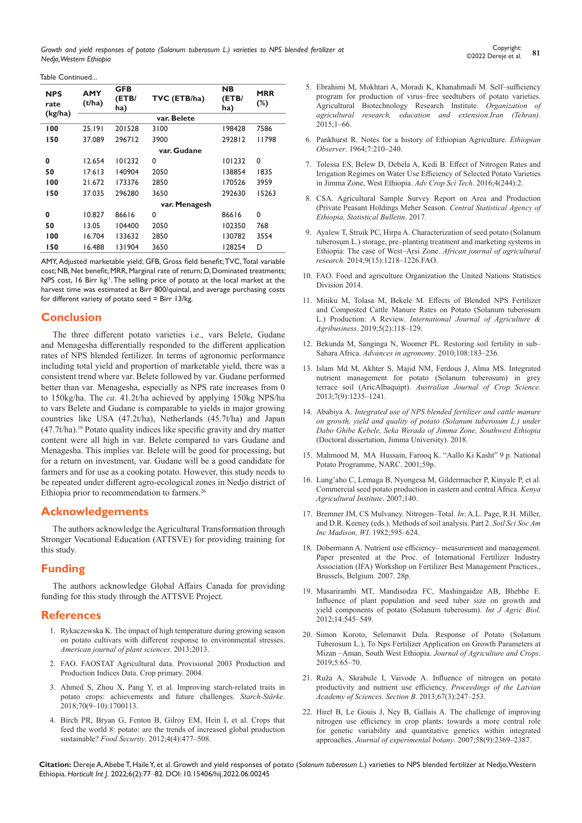Table Continued...

| <b>NPS</b><br>rate | <b>AMY</b><br>(t/ha) | <b>GFB</b><br>(ETB/<br>ha) | TVC (ETB/ha) | <b>NB</b><br>(ETB)<br>ha) | <b>MRR</b><br>$(\%)$ |  |  |  |
|--------------------|----------------------|----------------------------|--------------|---------------------------|----------------------|--|--|--|
| (kg/ha)            | var. Belete          |                            |              |                           |                      |  |  |  |
| 100                | 25.191               | 201528                     | 3100         | 198428                    | 7586                 |  |  |  |
| 150                | 37.089               | 296712                     | 3900         | 292812                    | 11798                |  |  |  |
|                    | var. Gudane          |                            |              |                           |                      |  |  |  |
| 0                  | 12.654               | 101232                     | 0            | 101232                    | 0                    |  |  |  |
| 50                 | 17.613               | 140904                     | 2050         | 138854                    | 1835                 |  |  |  |
| 100                | 21.672               | 173376                     | 2850         | 170526                    | 3959                 |  |  |  |
| 150                | 37.035               | 296280                     | 3650         | 292630                    | 15263                |  |  |  |
|                    | var. Menagesh        |                            |              |                           |                      |  |  |  |
| 0                  | 10.827               | 86616                      | 0            | 86616                     | 0                    |  |  |  |
| 50                 | 13.05                | 104400                     | 2050         | 102350                    | 768                  |  |  |  |
| 100                | 16.704               | 133632                     | 2850         | 130782                    | 3554                 |  |  |  |
| 150                | 16.488               | 131904                     | 3650         | 128254                    | D                    |  |  |  |

AMY, Adjusted marketable yield; GFB, Gross field benefit; TVC, Total variable cost; NB, Net benefit; MRR, Marginal rate of return; D, Dominated treatments; NPS cost, 16 Birr kg<sup>-1</sup>. The selling price of potato at the local market at the harvest time was estimated at Birr 800/quintal, and average purchasing costs for different variety of potato seed = Birr 13/kg.

# **Conclusion**

The three different potato varieties i.e., vars Belete, Gudane and Menagesha differentially responded to the different application rates of NPS blended fertilizer. In terms of agronomic performance including total yield and proportion of marketable yield, there was a consistent trend where var. Belete followed by var. Gudane performed better than var. Menagesha, especially as NPS rate increases from 0 to 150kg/ha. The *ca*. 41.2t/ha achieved by applying 150kg NPS/ha to vars Belete and Gudane is comparable to yields in major growing countries like USA (47.2t/ha), Netherlands (45.7t/ha) and Japan  $(47.7t/ha)$ .<sup>10</sup> Potato quality indices like specific gravity and dry matter content were all high in var. Belete compared to vars Gudane and Menagesha. This implies var. Belete will be good for processing, but for a return on investment, var. Gudane will be a good candidate for farmers and for use as a cooking potato. However, this study needs to be repeated under different agro-ecological zones in Nedjo district of Ethiopia prior to recommendation to farmers.26

# **Acknowledgements**

The authors acknowledge the Agricultural Transformation through Stronger Vocational Education (ATTSVE) for providing training for this study.

# **Funding**

The authors acknowledge Global Affairs Canada for providing funding for this study through the ATTSVE Project.

# **References**

- 1. [Rykaczewska K. The impact of high temperature during growing season](https://www.semanticscholar.org/paper/The-Impact-of-High-Temperature-during-Growing-on-to-Rykaczewska/866cbb481e9b22e35c2bcebdd9637d828fbb65df)  [on potato cultivars with different response to environmental stresses.](https://www.semanticscholar.org/paper/The-Impact-of-High-Temperature-during-Growing-on-to-Rykaczewska/866cbb481e9b22e35c2bcebdd9637d828fbb65df)  *[American journal of plant sciences](https://www.semanticscholar.org/paper/The-Impact-of-High-Temperature-during-Growing-on-to-Rykaczewska/866cbb481e9b22e35c2bcebdd9637d828fbb65df)*. 2013;2013.
- 2. FAO. FAOSTAT Agricultural data. Provisional 2003 Production and Production Indices Data. Crop primary. 2004.
- 3. [Ahmed S, Zhou X, Pang Y, et al. Improving starch‐related traits in](https://onlinelibrary.wiley.com/doi/abs/10.1002/star.201700113)  [potato crops: achievements and future challenges.](https://onlinelibrary.wiley.com/doi/abs/10.1002/star.201700113) *Starch‐Stärke*. [2018;70\(9‒10\):1700113.](https://onlinelibrary.wiley.com/doi/abs/10.1002/star.201700113)
- 4. [Birch PR, Bryan G, Fenton B, Gilroy EM, Hein I, et al. Crops that](https://link.springer.com/article/10.1007/s12571-012-0220-1)  [feed the world 8: potato: are the trends of increased global production](https://link.springer.com/article/10.1007/s12571-012-0220-1)  sustainable? *Food Security*[. 2012;4\(4\):477‒508.](https://link.springer.com/article/10.1007/s12571-012-0220-1)
- 5. Ebrahimi M, Mokhtari A, Moradi K, Khanahmadi M. Self-sufficiency program for production of virus–free seedtubers of potato varieties. Agricultural Biotechnology Research Institute. *Organization of agricultural research, education and extension.Iran (Tehran).*   $2015;1-66.$
- 6. [Pankhurst R. Notes for a history of Ethiopian Agriculture.](https://www.africabib.org/rec.php?RID=P00045202) *Ethiopian Observer*[. 1964;7:210‒240.](https://www.africabib.org/rec.php?RID=P00045202)
- 7. [Tolessa ES, Belew D, Debela A, Kedi B. Effect of Nitrogen Rates and](https://www.omicsonline.org/open-access/effect-of-nitrogen-rates-and-irrigation-regimes-on-water-use-efficiencyof-selected-potato-varieties-in-jimma-zone-west-ethiopia-2329-8863-1000244.php?aid=82435)  [Irrigation Regimes on Water Use Efficiency of Selected Potato Varieties](https://www.omicsonline.org/open-access/effect-of-nitrogen-rates-and-irrigation-regimes-on-water-use-efficiencyof-selected-potato-varieties-in-jimma-zone-west-ethiopia-2329-8863-1000244.php?aid=82435)  [in Jimma Zone, West Ethiopia.](https://www.omicsonline.org/open-access/effect-of-nitrogen-rates-and-irrigation-regimes-on-water-use-efficiencyof-selected-potato-varieties-in-jimma-zone-west-ethiopia-2329-8863-1000244.php?aid=82435) *Adv Crop Sci Tech*. 2016;4(244):2.
- 8. [CSA. Agricultural Sample Survey Report on Area and Production](https://searchworks.stanford.edu/view/5757166)  [\(Private Peasant Holdings Meher Season.](https://searchworks.stanford.edu/view/5757166) *Central Statistical Agency of [Ethiopia, Statistical Bulletin](https://searchworks.stanford.edu/view/5757166)*. 2017.
- 9. [Ayalew T, Struik PC, Hirpa A. Characterization of seed potato \(Solanum](https://agris.fao.org/agris-search/search.do?recordID=NL2020009037)  tuberosum L.) storage, pre-planting treatment and marketing systems in [Ethiopia: The case of West‒Arsi Zone.](https://agris.fao.org/agris-search/search.do?recordID=NL2020009037) *African journal of agricultural research*[. 2014;9\(15\):1218‒1226.](https://agris.fao.org/agris-search/search.do?recordID=NL2020009037)FAO.
- 10. FAO. Food and agriculture Organization the United Nations Statistics Division 2014.
- 11. [Mitiku M, Tolasa M, Bekele M. Effects of Blended NPS Fertilizer](https://www.arcjournals.org/pdfs/ijrsas/v5-i5/4.pdf)  [and Composted Cattle Manure Rates on Potato \(Solanum tuberosum](https://www.arcjournals.org/pdfs/ijrsas/v5-i5/4.pdf)  L.) Production: A Review. *[International Journal of Agriculture &](https://www.arcjournals.org/pdfs/ijrsas/v5-i5/4.pdf)  Agribusiness*[. 2019;5\(2\):118‒129.](https://www.arcjournals.org/pdfs/ijrsas/v5-i5/4.pdf)
- 12. Bekunda M, Sanginga N, Woomer PL. Restoring soil fertility in sub-Sahara Africa. *[Advances in agronomy](https://www.sciencedirect.com/science/article/pii/S0065211310080041)*. 2010;108:183-236.
- 13. [Islam Md M, Akhter S, Majid NM, Ferdous J, Alma MS. Integrated](https://citeseerx.ist.psu.edu/viewdoc/download?doi=10.1.1.1056.1021&rep=rep1&type=pdf)  [nutrient management for potato \(Solanum tuberosum\) in grey](https://citeseerx.ist.psu.edu/viewdoc/download?doi=10.1.1.1056.1021&rep=rep1&type=pdf)  terrace soil (AricAlbaquipt). *[Australian Journal of Crop Science.](https://citeseerx.ist.psu.edu/viewdoc/download?doi=10.1.1.1056.1021&rep=rep1&type=pdf)* [2013;7\(9\):1235‒1241.](https://citeseerx.ist.psu.edu/viewdoc/download?doi=10.1.1.1056.1021&rep=rep1&type=pdf)
- 14. Ababiya A. *[Integrated use of NPS blended fertilizer and cattle manure](http://cgspace.cgiar.org/bitstream/10568/97030/1/thesis_amin_2018.pdf)  [on growth, yield and quality of potato \(Solanum tuberosum L.\) under](http://cgspace.cgiar.org/bitstream/10568/97030/1/thesis_amin_2018.pdf)  [Dabo Ghibe Kebele, Seka Werada of Jimma Zone, Southwest Ethiopia](http://cgspace.cgiar.org/bitstream/10568/97030/1/thesis_amin_2018.pdf)* [\(Doctoral dissertation, Jimma University\). 2018.](http://cgspace.cgiar.org/bitstream/10568/97030/1/thesis_amin_2018.pdf)
- 15. Mahmood M, MA Hussain, Farooq K. "Aallo Ki Kasht" 9 p. National Potato Programme, NARC. 2001;59p.
- 16. Lung'aho C, Lemaga B, Nyongesa M, Gildermacher P, Kinyale P, et al. Commercial seed potato production in eastern and central Africa. *Kenya Agricultural Institute*. 2007;140.
- 17. Bremner JM, CS Mulvaney. Nitrogen-Total. In: A.L. Page, R.H. Miller, and D.R. Keeney (eds.). Methods of soil analysis. Part 2. *Soil Sci Soc Am Inc Madison, WI.* 1982:595-624.
- 18. Dobermann A. Nutrient use efficiency-measurement and management. Paper presented at the Proc. of International Fertilizer Industry Association (IFA) Workshop on Fertilizer Best Management Practices., Brussels, Belgium. 2007. 28p.
- 19. [Masarirambi MT, Mandisodza FC, Mashingaidze AB, Bhebhe E.](https://www.fspublishers.org/published_papers/63763_..pdf)  [Influence of plant population and seed tuber size on growth and](https://www.fspublishers.org/published_papers/63763_..pdf)  [yield components of potato \(Solanum tuberosum\).](https://www.fspublishers.org/published_papers/63763_..pdf) *Int J Agric Biol*. [2012;14:545–549.](https://www.fspublishers.org/published_papers/63763_..pdf)
- 20. Simon Koroto, Selemawit Dula. Response of Potato (Solanum Tuberosum L.), To Nps Fertilizer Application on Growth Parameters at Mizan ‒Aman, South West Ethiopia. *Journal of Agriculture and Crops*. 2019;5:65‒70.
- 21. [Ruža A, Skrabule I, Vaivode A. Influence of nitrogen on potato](https://sciendo.com/pdf/10.2478/prolas-2013-0043)  [productivity and nutrient use efficiency.](https://sciendo.com/pdf/10.2478/prolas-2013-0043) *Proceedings of the Latvian [Academy of Sciences. Section B](https://sciendo.com/pdf/10.2478/prolas-2013-0043)*. 2013;67(3):247‒253.
- 22. [Hirel B, Le Gouis J, Ney B, Gallais A. The challenge of improving](https://academic.oup.com/jxb/article/58/9/2369/543374)  [nitrogen use efficiency in crop plants: towards a more central role](https://academic.oup.com/jxb/article/58/9/2369/543374)  [for genetic variability and quantitative genetics within integrated](https://academic.oup.com/jxb/article/58/9/2369/543374)  approaches. *[Journal of experimental botany](https://academic.oup.com/jxb/article/58/9/2369/543374)*. 2007;58(9):2369-2387.